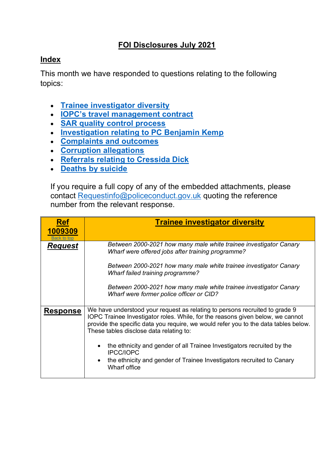## **FOI Disclosures July 2021**

## <span id="page-0-1"></span>**Index**

This month we have responded to questions relating to the following topics:

- **[Trainee investigator diversity](#page-0-0)**
- **[IOPC's travel management contract](#page-3-0)**
- **[SAR quality control process](#page-3-1)**
- **[Investigation relating to PC Benjamin Kemp](#page-6-0)**
- **[Complaints and outcomes](#page-6-1)**
- **[Corruption allegations](#page-7-0)**
- **[Referrals relating to Cressida Dick](#page-8-0)**
- **[Deaths by suicide](#page-9-0)**

If you require a full copy of any of the embedded attachments, please contact [Requestinfo@policeconduct.gov.uk](mailto:Requestinfo@policeconduct.gov.uk) quoting the reference number from the relevant response.

<span id="page-0-0"></span>

| <b>Ref</b><br>1009309<br><b>Back</b> to top | <b>Trainee investigator diversity</b>                                                                                                                                                                                                                                                                                                                                                                                                                                                  |
|---------------------------------------------|----------------------------------------------------------------------------------------------------------------------------------------------------------------------------------------------------------------------------------------------------------------------------------------------------------------------------------------------------------------------------------------------------------------------------------------------------------------------------------------|
| <b>Request</b>                              | Between 2000-2021 how many male white trainee investigator Canary<br>Wharf were offered jobs after training programme?<br>Between 2000-2021 how many male white trainee investigator Canary<br>Wharf failed training programme?<br>Between 2000-2021 how many male white trainee investigator Canary<br>Wharf were former police officer or CID?                                                                                                                                       |
| <b>Response</b>                             | We have understood your request as relating to persons recruited to grade 9<br>IOPC Trainee Investigator roles. While, for the reasons given below, we cannot<br>provide the specific data you require, we would refer you to the data tables below.<br>These tables disclose data relating to:<br>the ethnicity and gender of all Trainee Investigators recruited by the<br><b>IPCC/IOPC</b><br>the ethnicity and gender of Trainee Investigators recruited to Canary<br>Wharf office |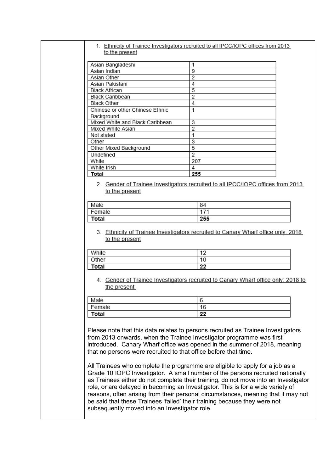## 1. Ethnicity of Trainee Investigators recruited to all IPCC/IOPC offices from 2013 to the present

| Asian Bangladeshi               |     |
|---------------------------------|-----|
| Asian Indian                    | 9   |
| Asian Other                     | 2   |
| Asian Pakistani                 | 4   |
| Black African                   | 5   |
| Black Caribbean                 | 2   |
| <b>Black Other</b>              | 4   |
| Chinese or other Chinese Ethnic | 1   |
| Background                      |     |
| Mixed White and Black Caribbean | 3   |
| Mixed White Asian               | 2   |
| Not stated                      |     |
| Other                           | 3   |
| Other Mixed Background          | 5   |
| Undefined                       | 2   |
| White                           | 207 |
| White Irish                     | 4   |
| Total                           | 255 |

2. Gender of Trainee Investigators recruited to all IPCC/IOPC offices from 2013 to the present

| Male   | 84  |
|--------|-----|
| Female | オフィ |
| Total  | 255 |

3. Ethnicity of Trainee Investigators recruited to Canary Wharf office only: 2018 to the present

| `Vhite | $\overline{A}$<br>. . |
|--------|-----------------------|
| ີ*her  | 1 C                   |
| otal   | o n<br><u>__</u>      |

4. Gender of Trainee Investigators recruited to Canary Wharf office only: 2018 to the present

| Male   |          |
|--------|----------|
| Female | 16       |
| Total  | 00<br>∠∠ |

Please note that this data relates to persons recruited as Trainee Investigators from 2013 onwards, when the Trainee Investigator programme was first introduced. Canary Wharf office was opened in the summer of 2018, meaning that no persons were recruited to that office before that time.

All Trainees who complete the programme are eligible to apply for a job as a Grade 10 IOPC Investigator. A small number of the persons recruited nationally as Trainees either do not complete their training, do not move into an Investigator role, or are delayed in becoming an Investigator. This is for a wide variety of reasons, often arising from their personal circumstances, meaning that it may not be said that these Trainees 'failed' their training because they were not subsequently moved into an Investigator role.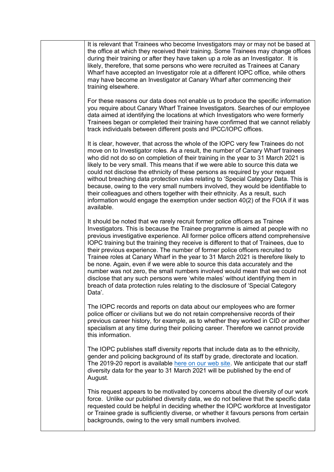It is relevant that Trainees who become Investigators may or may not be based at the office at which they received their training. Some Trainees may change offices during their training or after they have taken up a role as an Investigator. It is likely, therefore, that some persons who were recruited as Trainees at Canary Wharf have accepted an Investigator role at a different IOPC office, while others may have become an Investigator at Canary Wharf after commencing their training elsewhere.

For these reasons our data does not enable us to produce the specific information you require about Canary Wharf Trainee Investigators. Searches of our employee data aimed at identifying the locations at which Investigators who were formerly Trainees began or completed their training have confirmed that we cannot reliably track individuals between different posts and IPCC/IOPC offices.

It is clear, however, that across the whole of the IOPC very few Trainees do not move on to Investigator roles. As a result, the number of Canary Wharf trainees who did not do so on completion of their training in the year to 31 March 2021 is likely to be very small. This means that if we were able to source this data we could not disclose the ethnicity of these persons as required by your request without breaching data protection rules relating to 'Special Category Data. This is because, owing to the very small numbers involved, they would be identifiable to their colleagues and others together with their ethnicity. As a result, such information would engage the exemption under section 40(2) of the FOIA if it was available.

It should be noted that we rarely recruit former police officers as Trainee Investigators. This is because the Trainee programme is aimed at people with no previous investigative experience. All former police officers attend comprehensive IOPC training but the training they receive is different to that of Trainees, due to their previous experience. The number of former police officers recruited to Trainee roles at Canary Wharf in the year to 31 March 2021 is therefore likely to be none. Again, even if we were able to source this data accurately and the number was not zero, the small numbers involved would mean that we could not disclose that any such persons were 'white males' without identifying them in breach of data protection rules relating to the disclosure of 'Special Category Data'.

The IOPC records and reports on data about our employees who are former police officer or civilians but we do not retain comprehensive records of their previous career history, for example, as to whether they worked in CID or another specialism at any time during their policing career. Therefore we cannot provide this information.

The IOPC publishes staff diversity reports that include data as to the ethnicity, gender and policing background of its staff by grade, directorate and location. The 2019-20 report is available [here on our web site.](file://///shqfile02/homedir$/Caroline.Wilson/FOI%20and%20DPA%20work/Disclosure%20logs/Documents/Who-we-are/accountability-performance/IOPC-Staff-Diversity-Report-2020.pdf) We anticipate that our staff diversity data for the year to 31 March 2021 will be published by the end of August.

This request appears to be motivated by concerns about the diversity of our work force. Unlike our published diversity data, we do not believe that the specific data requested could be helpful in deciding whether the IOPC workforce at Investigator or Trainee grade is sufficiently diverse, or whether it favours persons from certain backgrounds, owing to the very small numbers involved.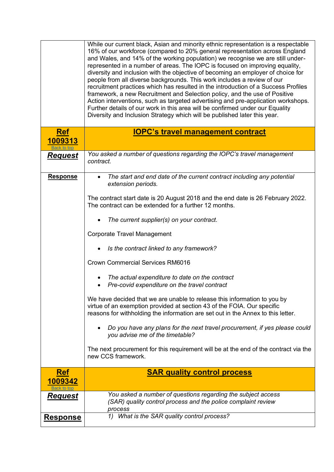<span id="page-3-1"></span><span id="page-3-0"></span>

|                                      | While our current black, Asian and minority ethnic representation is a respectable<br>16% of our workforce (compared to 20% general representation across England<br>and Wales, and 14% of the working population) we recognise we are still under-<br>represented in a number of areas. The IOPC is focused on improving equality,<br>diversity and inclusion with the objective of becoming an employer of choice for<br>people from all diverse backgrounds. This work includes a review of our<br>recruitment practices which has resulted in the introduction of a Success Profiles<br>framework, a new Recruitment and Selection policy, and the use of Positive<br>Action interventions, such as targeted advertising and pre-application workshops.<br>Further details of our work in this area will be confirmed under our Equality<br>Diversity and Inclusion Strategy which will be published later this year. |
|--------------------------------------|---------------------------------------------------------------------------------------------------------------------------------------------------------------------------------------------------------------------------------------------------------------------------------------------------------------------------------------------------------------------------------------------------------------------------------------------------------------------------------------------------------------------------------------------------------------------------------------------------------------------------------------------------------------------------------------------------------------------------------------------------------------------------------------------------------------------------------------------------------------------------------------------------------------------------|
| <b>Ref</b><br>1009313<br>Back to ton | <b>IOPC's travel management contract</b>                                                                                                                                                                                                                                                                                                                                                                                                                                                                                                                                                                                                                                                                                                                                                                                                                                                                                  |
| <u>Request</u>                       | You asked a number of questions regarding the IOPC's travel management<br>contract.                                                                                                                                                                                                                                                                                                                                                                                                                                                                                                                                                                                                                                                                                                                                                                                                                                       |
| <b>Response</b>                      | The start and end date of the current contract including any potential<br>extension periods.                                                                                                                                                                                                                                                                                                                                                                                                                                                                                                                                                                                                                                                                                                                                                                                                                              |
|                                      | The contract start date is 20 August 2018 and the end date is 26 February 2022.<br>The contract can be extended for a further 12 months.                                                                                                                                                                                                                                                                                                                                                                                                                                                                                                                                                                                                                                                                                                                                                                                  |
|                                      | The current supplier(s) on your contract.                                                                                                                                                                                                                                                                                                                                                                                                                                                                                                                                                                                                                                                                                                                                                                                                                                                                                 |
|                                      | <b>Corporate Travel Management</b>                                                                                                                                                                                                                                                                                                                                                                                                                                                                                                                                                                                                                                                                                                                                                                                                                                                                                        |
|                                      | Is the contract linked to any framework?                                                                                                                                                                                                                                                                                                                                                                                                                                                                                                                                                                                                                                                                                                                                                                                                                                                                                  |
|                                      | <b>Crown Commercial Services RM6016</b>                                                                                                                                                                                                                                                                                                                                                                                                                                                                                                                                                                                                                                                                                                                                                                                                                                                                                   |
|                                      | The actual expenditure to date on the contract<br>Pre-covid expenditure on the travel contract                                                                                                                                                                                                                                                                                                                                                                                                                                                                                                                                                                                                                                                                                                                                                                                                                            |
|                                      | We have decided that we are unable to release this information to you by<br>virtue of an exemption provided at section 43 of the FOIA. Our specific<br>reasons for withholding the information are set out in the Annex to this letter.                                                                                                                                                                                                                                                                                                                                                                                                                                                                                                                                                                                                                                                                                   |
|                                      | Do you have any plans for the next travel procurement, if yes please could<br>you advise me of the timetable?                                                                                                                                                                                                                                                                                                                                                                                                                                                                                                                                                                                                                                                                                                                                                                                                             |
|                                      | The next procurement for this requirement will be at the end of the contract via the<br>new CCS framework.                                                                                                                                                                                                                                                                                                                                                                                                                                                                                                                                                                                                                                                                                                                                                                                                                |
| <b>Ref</b><br>1009342                | <b>SAR quality control process</b>                                                                                                                                                                                                                                                                                                                                                                                                                                                                                                                                                                                                                                                                                                                                                                                                                                                                                        |
| Request                              | You asked a number of questions regarding the subject access<br>(SAR) quality control process and the police complaint review<br>process                                                                                                                                                                                                                                                                                                                                                                                                                                                                                                                                                                                                                                                                                                                                                                                  |
| <b>Response</b>                      | 1) What is the SAR quality control process?                                                                                                                                                                                                                                                                                                                                                                                                                                                                                                                                                                                                                                                                                                                                                                                                                                                                               |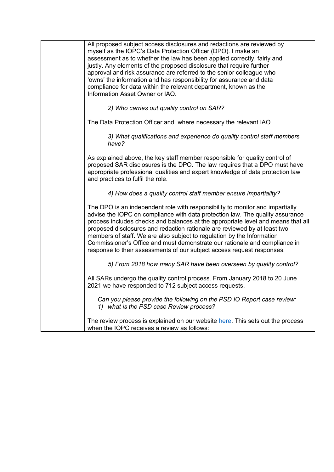| All proposed subject access disclosures and redactions are reviewed by<br>myself as the IOPC's Data Protection Officer (DPO). I make an<br>assessment as to whether the law has been applied correctly, fairly and<br>justly. Any elements of the proposed disclosure that require further<br>approval and risk assurance are referred to the senior colleague who<br>'owns' the information and has responsibility for assurance and data<br>compliance for data within the relevant department, known as the<br>Information Asset Owner or IAO.                 |
|-------------------------------------------------------------------------------------------------------------------------------------------------------------------------------------------------------------------------------------------------------------------------------------------------------------------------------------------------------------------------------------------------------------------------------------------------------------------------------------------------------------------------------------------------------------------|
| 2) Who carries out quality control on SAR?                                                                                                                                                                                                                                                                                                                                                                                                                                                                                                                        |
| The Data Protection Officer and, where necessary the relevant IAO.                                                                                                                                                                                                                                                                                                                                                                                                                                                                                                |
| 3) What qualifications and experience do quality control staff members<br>have?                                                                                                                                                                                                                                                                                                                                                                                                                                                                                   |
| As explained above, the key staff member responsible for quality control of<br>proposed SAR disclosures is the DPO. The law requires that a DPO must have<br>appropriate professional qualities and expert knowledge of data protection law<br>and practices to fulfil the role.                                                                                                                                                                                                                                                                                  |
| 4) How does a quality control staff member ensure impartiality?                                                                                                                                                                                                                                                                                                                                                                                                                                                                                                   |
| The DPO is an independent role with responsibility to monitor and impartially<br>advise the IOPC on compliance with data protection law. The quality assurance<br>process includes checks and balances at the appropriate level and means that all<br>proposed disclosures and redaction rationale are reviewed by at least two<br>members of staff. We are also subject to regulation by the Information<br>Commissioner's Office and must demonstrate our rationale and compliance in<br>response to their assessments of our subject access request responses. |
| 5) From 2018 how many SAR have been overseen by quality control?                                                                                                                                                                                                                                                                                                                                                                                                                                                                                                  |
| All SARs undergo the quality control process. From January 2018 to 20 June<br>2021 we have responded to 712 subject access requests.                                                                                                                                                                                                                                                                                                                                                                                                                              |
| Can you please provide the following on the PSD IO Report case review:<br>1) what is the PSD case Review process?                                                                                                                                                                                                                                                                                                                                                                                                                                                 |
| The review process is explained on our website here. This sets out the process<br>when the IOPC receives a review as follows:                                                                                                                                                                                                                                                                                                                                                                                                                                     |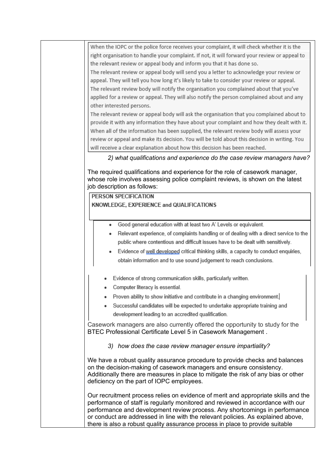When the IOPC or the police force receives your complaint, it will check whether it is the right organisation to handle your complaint. If not, it will forward your review or appeal to the relevant review or appeal body and inform you that it has done so.

The relevant review or appeal body will send you a letter to acknowledge your review or appeal. They will tell you how long it's likely to take to consider your review or appeal. The relevant review body will notify the organisation you complained about that you've applied for a review or appeal. They will also notify the person complained about and any other interested persons.

The relevant review or appeal body will ask the organisation that you complained about to provide it with any information they have about your complaint and how they dealt with it. When all of the information has been supplied, the relevant review body will assess your review or appeal and make its decision. You will be told about this decision in writing. You will receive a clear explanation about how this decision has been reached.

*2) what qualifications and experience do the case review managers have?*

The required qualifications and experience for the role of casework manager, whose role involves assessing police complaint reviews, is shown on the latest job description as follows:

PERSON SPECIFICATION KNOWLEDGE, EXPERIENCE and QUALIFICATIONS

- Good general education with at least two A' Levels or equivalent.
- Relevant experience, of complaints handling or of dealing with a direct service to the public where contentious and difficult issues have to be dealt with sensitively.
- Evidence of well developed critical thinking skills, a capacity to conduct enquiries, obtain information and to use sound judgement to reach conclusions.
- Evidence of strong communication skills, particularly written.
- Computer literacy is essential.
- Proven ability to show initiative and contribute in a changing environment.
- Successful candidates will be expected to undertake appropriate training and development leading to an accredited qualification.

Casework managers are also currently offered the opportunity to study for the BTEC Professional Certificate Level 5 in Casework Management .

*3) how does the case review manager ensure impartiality?*

We have a robust quality assurance procedure to provide checks and balances on the decision-making of casework managers and ensure consistency. Additionally there are measures in place to mitigate the risk of any bias or other deficiency on the part of IOPC employees.

Our recruitment process relies on evidence of merit and appropriate skills and the performance of staff is regularly monitored and reviewed in accordance with our performance and development review process. Any shortcomings in performance or conduct are addressed in line with the relevant policies. As explained above, there is also a robust quality assurance process in place to provide suitable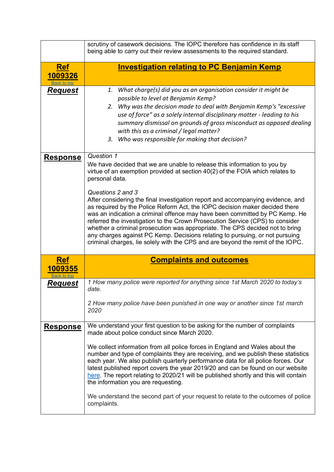<span id="page-6-1"></span><span id="page-6-0"></span>

|                                      | scrutiny of casework decisions. The IOPC therefore has confidence in its staff<br>being able to carry out their review assessments to the required standard.                                                                                                                                                                                                                                                                                                                                                                                                                                                                                                                                                                                                                                        |
|--------------------------------------|-----------------------------------------------------------------------------------------------------------------------------------------------------------------------------------------------------------------------------------------------------------------------------------------------------------------------------------------------------------------------------------------------------------------------------------------------------------------------------------------------------------------------------------------------------------------------------------------------------------------------------------------------------------------------------------------------------------------------------------------------------------------------------------------------------|
| <b>Ref</b><br>1009326<br>Back to top | <b>Investigation relating to PC Benjamin Kemp</b>                                                                                                                                                                                                                                                                                                                                                                                                                                                                                                                                                                                                                                                                                                                                                   |
| <u>Request</u>                       | 1. What charge(s) did you as an organisation consider it might be<br>possible to level at Benjamin Kemp?<br>2. Why was the decision made to deal with Benjamin Kemp's "excessive<br>use of force" as a solely internal disciplinary matter - leading to his<br>summary dismissal on grounds of gross misconduct as opposed dealing<br>with this as a criminal / legal matter?<br>3. Who was responsible for making that decision?                                                                                                                                                                                                                                                                                                                                                                   |
| <b>Response</b>                      | Question 1<br>We have decided that we are unable to release this information to you by<br>virtue of an exemption provided at section 40(2) of the FOIA which relates to<br>personal data.<br>Questions 2 and 3<br>After considering the final investigation report and accompanying evidence, and<br>as required by the Police Reform Act, the IOPC decision maker decided there<br>was an indication a criminal offence may have been committed by PC Kemp. He<br>referred the investigation to the Crown Prosecution Service (CPS) to consider<br>whether a criminal prosecution was appropriate. The CPS decided not to bring<br>any charges against PC Kemp. Decisions relating to pursuing, or not pursuing<br>criminal charges, lie solely with the CPS and are beyond the remit of the IOPC. |
| <b>Ref</b><br>1009355                | <b>Complaints and outcomes</b>                                                                                                                                                                                                                                                                                                                                                                                                                                                                                                                                                                                                                                                                                                                                                                      |
| <b>Request</b>                       | 1 How many police were reported for anything since 1st March 2020 to today's<br>date.<br>2 How many police have been punished in one way or another since 1st march<br>2020                                                                                                                                                                                                                                                                                                                                                                                                                                                                                                                                                                                                                         |
| <b>Response</b>                      | We understand your first question to be asking for the number of complaints<br>made about police conduct since March 2020.<br>We collect information from all police forces in England and Wales about the<br>number and type of complaints they are receiving, and we publish these statistics<br>each year. We also publish quarterly performance data for all police forces. Our<br>latest published report covers the year 2019/20 and can be found on our website<br>here. The report relating to 2020/21 will be published shortly and this will contain<br>the information you are requesting.<br>We understand the second part of your request to relate to the outcomes of police<br>complaints.                                                                                           |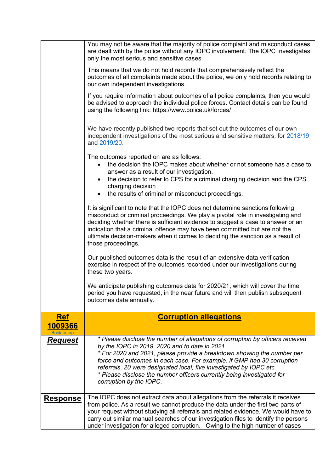<span id="page-7-0"></span>

|                 | You may not be aware that the majority of police complaint and misconduct cases<br>are dealt with by the police without any IOPC involvement. The IOPC investigates<br>only the most serious and sensitive cases.                                                                                                                                                                                                                                                |
|-----------------|------------------------------------------------------------------------------------------------------------------------------------------------------------------------------------------------------------------------------------------------------------------------------------------------------------------------------------------------------------------------------------------------------------------------------------------------------------------|
|                 | This means that we do not hold records that comprehensively reflect the<br>outcomes of all complaints made about the police, we only hold records relating to<br>our own independent investigations.                                                                                                                                                                                                                                                             |
|                 | If you require information about outcomes of all police complaints, then you would<br>be advised to approach the individual police forces. Contact details can be found<br>using the following link: https://www.police.uk/forces/                                                                                                                                                                                                                               |
|                 | We have recently published two reports that set out the outcomes of our own<br>independent investigations of the most serious and sensitive matters, for 2018/19<br>and 2019/20.                                                                                                                                                                                                                                                                                 |
|                 | The outcomes reported on are as follows:<br>the decision the IOPC makes about whether or not someone has a case to<br>$\bullet$<br>answer as a result of our investigation.<br>the decision to refer to CPS for a criminal charging decision and the CPS<br>charging decision<br>the results of criminal or misconduct proceedings.<br>$\bullet$                                                                                                                 |
|                 | It is significant to note that the IOPC does not determine sanctions following<br>misconduct or criminal proceedings. We play a pivotal role in investigating and<br>deciding whether there is sufficient evidence to suggest a case to answer or an<br>indication that a criminal offence may have been committed but are not the<br>ultimate decision-makers when it comes to deciding the sanction as a result of<br>those proceedings.                       |
|                 | Our published outcomes data is the result of an extensive data verification<br>exercise in respect of the outcomes recorded under our investigations during<br>these two years.                                                                                                                                                                                                                                                                                  |
|                 | We anticipate publishing outcomes data for 2020/21, which will cover the time<br>period you have requested, in the near future and will then publish subsequent<br>outcomes data annually.                                                                                                                                                                                                                                                                       |
| <u>Ref</u>      | <b>Corruption allegations</b>                                                                                                                                                                                                                                                                                                                                                                                                                                    |
| 1009366         |                                                                                                                                                                                                                                                                                                                                                                                                                                                                  |
| <u>Request</u>  | * Please disclose the number of allegations of corruption by officers received<br>by the IOPC in 2019, 2020 and to date in 2021.<br>* For 2020 and 2021, please provide a breakdown showing the number per<br>force and outcomes in each case. For example: if GMP had 30 corruption<br>referrals, 20 were designated local, five investigated by IOPC etc.<br>* Please disclose the number officers currently being investigated for<br>corruption by the IOPC. |
| <b>Response</b> | The IOPC does not extract data about allegations from the referrals it receives<br>from police. As a result we cannot produce the data under the first two parts of<br>your request without studying all referrals and related evidence. We would have to<br>carry out similar manual searches of our investigation files to identify the persons<br>under investigation for alleged corruption. Owing to the high number of cases                               |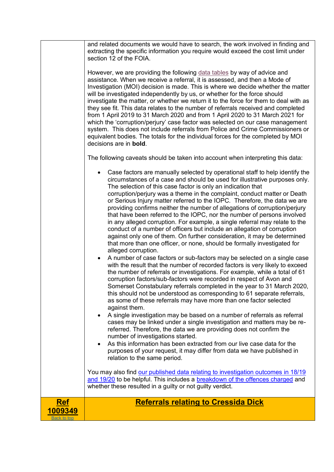<span id="page-8-0"></span>

|                                      | and related documents we would have to search, the work involved in finding and<br>extracting the specific information you require would exceed the cost limit under<br>section 12 of the FOIA.<br>However, we are providing the following data tables by way of advice and<br>assistance. When we receive a referral, it is assessed, and then a Mode of                                                                                                                                                                                                                                                                                                                                                                                                                                                                                                                                                                                                                                                                                                                                                                                                                                                                                                                                                                                                                                                                                                                                                                                                                                                                                                                                                                                                                                                                                                                                                                             |
|--------------------------------------|---------------------------------------------------------------------------------------------------------------------------------------------------------------------------------------------------------------------------------------------------------------------------------------------------------------------------------------------------------------------------------------------------------------------------------------------------------------------------------------------------------------------------------------------------------------------------------------------------------------------------------------------------------------------------------------------------------------------------------------------------------------------------------------------------------------------------------------------------------------------------------------------------------------------------------------------------------------------------------------------------------------------------------------------------------------------------------------------------------------------------------------------------------------------------------------------------------------------------------------------------------------------------------------------------------------------------------------------------------------------------------------------------------------------------------------------------------------------------------------------------------------------------------------------------------------------------------------------------------------------------------------------------------------------------------------------------------------------------------------------------------------------------------------------------------------------------------------------------------------------------------------------------------------------------------------|
|                                      | Investigation (MOI) decision is made. This is where we decide whether the matter<br>will be investigated independently by us, or whether for the force should<br>investigate the matter, or whether we return it to the force for them to deal with as<br>they see fit. This data relates to the number of referrals received and completed<br>from 1 April 2019 to 31 March 2020 and from 1 April 2020 to 31 March 2021 for<br>which the 'corruption/perjury' case factor was selected on our case management<br>system. This does not include referrals from Police and Crime Commissioners or<br>equivalent bodies. The totals for the individual forces for the completed by MOI<br>decisions are in <b>bold</b> .                                                                                                                                                                                                                                                                                                                                                                                                                                                                                                                                                                                                                                                                                                                                                                                                                                                                                                                                                                                                                                                                                                                                                                                                                |
|                                      | The following caveats should be taken into account when interpreting this data:                                                                                                                                                                                                                                                                                                                                                                                                                                                                                                                                                                                                                                                                                                                                                                                                                                                                                                                                                                                                                                                                                                                                                                                                                                                                                                                                                                                                                                                                                                                                                                                                                                                                                                                                                                                                                                                       |
|                                      | Case factors are manually selected by operational staff to help identify the<br>$\bullet$<br>circumstances of a case and should be used for illustrative purposes only.<br>The selection of this case factor is only an indication that<br>corruption/perjury was a theme in the complaint, conduct matter or Death<br>or Serious Injury matter referred to the IOPC. Therefore, the data we are<br>providing confirms neither the number of allegations of corruption/perjury<br>that have been referred to the IOPC, nor the number of persons involved<br>in any alleged corruption. For example, a single referral may relate to the<br>conduct of a number of officers but include an allegation of corruption<br>against only one of them. On further consideration, it may be determined<br>that more than one officer, or none, should be formally investigated for<br>alleged corruption.<br>A number of case factors or sub-factors may be selected on a single case<br>with the result that the number of recorded factors is very likely to exceed<br>the number of referrals or investigations. For example, while a total of 61<br>corruption factors/sub-factors were recorded in respect of Avon and<br>Somerset Constabulary referrals completed in the year to 31 March 2020,<br>this should not be understood as corresponding to 61 separate referrals,<br>as some of these referrals may have more than one factor selected<br>against them.<br>A single investigation may be based on a number of referrals as referral<br>cases may be linked under a single investigation and matters may be re-<br>referred. Therefore, the data we are providing does not confirm the<br>number of investigations started.<br>As this information has been extracted from our live case data for the<br>$\bullet$<br>purposes of your request, it may differ from data we have published in<br>relation to the same period. |
|                                      | You may also find our published data relating to investigation outcomes in 18/19<br>and 19/20 to be helpful. This includes a breakdown of the offences charged and<br>whether these resulted in a guilty or not guilty verdict.                                                                                                                                                                                                                                                                                                                                                                                                                                                                                                                                                                                                                                                                                                                                                                                                                                                                                                                                                                                                                                                                                                                                                                                                                                                                                                                                                                                                                                                                                                                                                                                                                                                                                                       |
| <b>Ref</b><br>1009349<br>Back to tor | <b>Referrals relating to Cressida Dick</b>                                                                                                                                                                                                                                                                                                                                                                                                                                                                                                                                                                                                                                                                                                                                                                                                                                                                                                                                                                                                                                                                                                                                                                                                                                                                                                                                                                                                                                                                                                                                                                                                                                                                                                                                                                                                                                                                                            |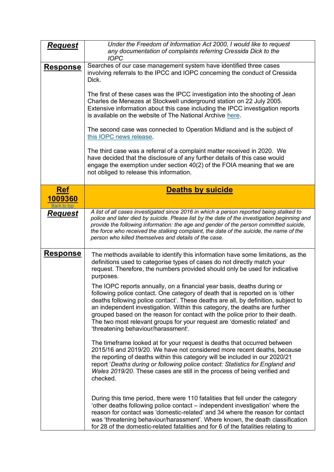<span id="page-9-0"></span>

| Request               | Under the Freedom of Information Act 2000, I would like to request<br>any documentation of complaints referring Cressida Dick to the<br><b>IOPC</b>                                                                                                                                                                                                                                                                                                                                                                            |
|-----------------------|--------------------------------------------------------------------------------------------------------------------------------------------------------------------------------------------------------------------------------------------------------------------------------------------------------------------------------------------------------------------------------------------------------------------------------------------------------------------------------------------------------------------------------|
| <b>Response</b>       | Searches of our case management system have identified three cases<br>involving referrals to the IPCC and IOPC concerning the conduct of Cressida<br>Dick.<br>The first of these cases was the IPCC investigation into the shooting of Jean<br>Charles de Menezes at Stockwell underground station on 22 July 2005.                                                                                                                                                                                                            |
|                       | Extensive information about this case including the IPCC investigation reports<br>is available on the website of The National Archive here.                                                                                                                                                                                                                                                                                                                                                                                    |
|                       | The second case was connected to Operation Midland and is the subject of<br>this IOPC news release.                                                                                                                                                                                                                                                                                                                                                                                                                            |
|                       | The third case was a referral of a complaint matter received in 2020. We<br>have decided that the disclosure of any further details of this case would<br>engage the exemption under section 40(2) of the FOIA meaning that we are<br>not obliged to release this information.                                                                                                                                                                                                                                                 |
| <b>Ref</b><br>1009360 | <b>Deaths by suicide</b>                                                                                                                                                                                                                                                                                                                                                                                                                                                                                                       |
| Back to top           |                                                                                                                                                                                                                                                                                                                                                                                                                                                                                                                                |
| <b>Request</b>        | A list of all cases investigated since 2016 in which a person reported being stalked to<br>police and later died by suicide. Please list by the date of the investigation beginning and<br>provide the following information: the age and gender of the person committed suicide,<br>the force who received the stalking complaint, the date of the suicide, the name of the<br>person who killed themselves and details of the case.                                                                                          |
| <u>Response</u>       | The methods available to identify this information have some limitations, as the<br>definitions used to categorise types of cases do not directly match your<br>request. Therefore, the numbers provided should only be used for indicative<br>purposes.                                                                                                                                                                                                                                                                       |
|                       | The IOPC reports annually, on a financial year basis, deaths during or<br>following police contact. One category of death that is reported on is 'other<br>deaths following police contact'. These deaths are all, by definition, subject to<br>an independent investigation. Within this category, the deaths are further<br>grouped based on the reason for contact with the police prior to their death.<br>The two most relevant groups for your request are 'domestic related' and<br>'threatening behaviour/harassment'. |
|                       | The timeframe looked at for your request is deaths that occurred between<br>2015/16 and 2019/20. We have not considered more recent deaths, because<br>the reporting of deaths within this category will be included in our 2020/21<br>report 'Deaths during or following police contact: Statistics for England and<br>Wales 2019/20. These cases are still in the process of being verified and<br>checked.                                                                                                                  |
|                       | During this time period, there were 110 fatalities that fell under the category<br>'other deaths following police contact – independent investigation' where the<br>reason for contact was 'domestic-related' and 34 where the reason for contact<br>was 'threatening behaviour/harassment'. Where known, the death classification<br>for 28 of the domestic-related fatalities and for 6 of the fatalities relating to                                                                                                        |